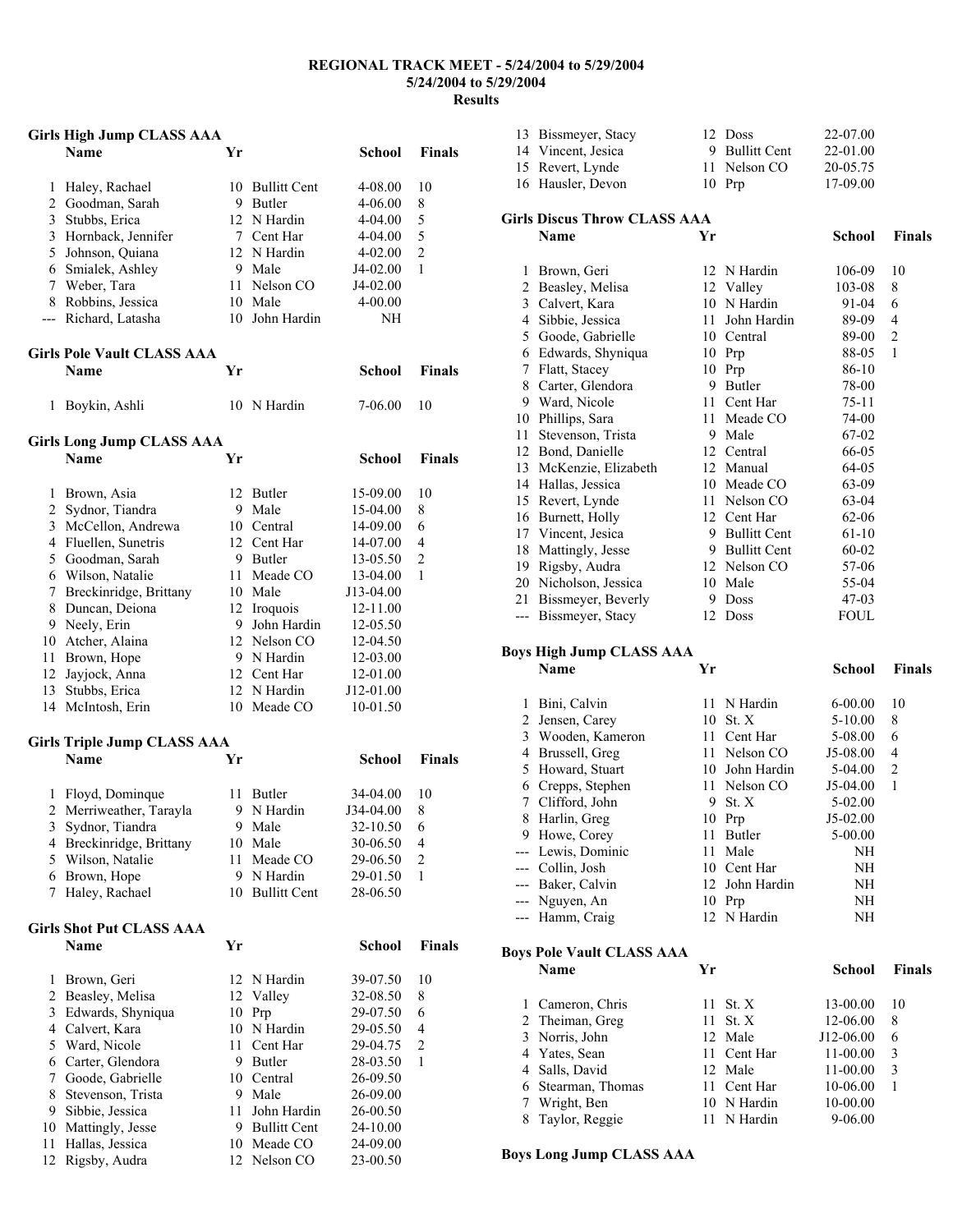#### **REGIONAL TRACK MEET - 5/24/2004 to 5/29/2004 5/24/2004 to 5/29/2004 Results**

# **Girls High Jump CLASS AAA Name Yr School Finals**  Haley, Rachael 10 Bullitt Cent 4-08.00 10 Goodman, Sarah 9 Butler 4-06.00 8 Stubbs, Erica 12 N Hardin 4-04.00 5 3 Hornback, Jennifer 7 Cent Har 4-04.00 5 Johnson, Quiana 12 N Hardin 4-02.00 2 Smialek, Ashley 9 Male J4-02.00 1 Weber, Tara 11 Nelson CO J4-02.00 8 Robbins, Jessica 10 Male 4-00.00 --- Richard, Latasha 10 John Hardin NH **Girls Pole Vault CLASS AAA Name Yr School Finals**  Boykin, Ashli 10 N Hardin 7-06.00 10 **Girls Long Jump CLASS AAA Name Yr School Finals**  Brown, Asia 12 Butler 15-09.00 10 Sydnor, Tiandra 9 Male 15-04.00 8 McCellon, Andrewa 10 Central 14-09.00 6 Fluellen, Sunetris 12 Cent Har 14-07.00 4 Goodman, Sarah 9 Butler 13-05.50 2 Wilson, Natalie 11 Meade CO 13-04.00 1 Breckinridge, Brittany 10 Male J13-04.00 Duncan, Deiona 12 Iroquois 12-11.00 Neely, Erin 9 John Hardin 12-05.50 Atcher, Alaina 12 Nelson CO 12-04.50 Brown, Hope 9 N Hardin 12-03.00 Jayjock, Anna 12 Cent Har 12-01.00 Stubbs, Erica 12 N Hardin J12-01.00 14 McIntosh, Erin 10 Meade CO 10-01.50 **Girls Triple Jump CLASS AAA Name Yr School Finals**  Floyd, Dominque 11 Butler 34-04.00 10 Merriweather, Tarayla 9 N Hardin J34-04.00 8 Sydnor, Tiandra 9 Male 32-10.50 6 Breckinridge, Brittany 10 Male 30-06.50 4 Wilson, Natalie 11 Meade CO 29-06.50 2 Brown, Hope 9 N Hardin 29-01.50 1 Haley, Rachael 10 Bullitt Cent 28-06.50 **Girls Shot Put CLASS AAA Name Yr School Finals**  Brown, Geri 12 N Hardin 39-07.50 10 Beasley, Melisa 12 Valley 32-08.50 8 Edwards, Shyniqua 10 Prp 29-07.50 6 Calvert, Kara 10 N Hardin 29-05.50 4 Ward, Nicole 11 Cent Har 29-04.75 2 Carter, Glendora 9 Butler 28-03.50 1 Goode, Gabrielle 10 Central 26-09.50 8 Stevenson, Trista 9 Male 26-09.00 Sibbie, Jessica 11 John Hardin 26-00.50 10 Mattingly, Jesse 9 Bullitt Cent 24-10.00 Hallas, Jessica 10 Meade CO 24-09.00

Rigsby, Audra 12 Nelson CO 23-00.50

| 13 Bissmeyer, Stacy | 12 Doss        | 22-07.00   |
|---------------------|----------------|------------|
| 14 Vincent, Jesica  | 9 Bullitt Cent | $22-01.00$ |
| 15 Revert, Lynde    | 11 Nelson CO   | 20-05.75   |
| 16 Hausler, Devon   | $10$ Prp       | 17-09.00   |
|                     |                |            |

|       | <b>Girls Discus Throw CLASS AAA</b> |    |                     |         |                |
|-------|-------------------------------------|----|---------------------|---------|----------------|
|       | Name                                | Yr |                     | School  | <b>Finals</b>  |
| 1     | Brown, Geri                         |    | 12 N Hardin         | 106-09  | 10             |
| 2     | Beasley, Melisa                     |    | 12 Valley           | 103-08  | 8              |
| 3     | Calvert, Kara                       |    | 10 N Hardin         | 91-04   | 6              |
| 4     | Sibbie, Jessica                     | 11 | John Hardin         | 89-09   | $\overline{4}$ |
| 5     | Goode, Gabrielle                    |    | 10 Central          | 89-00   | $\mathfrak{2}$ |
| 6     | Edwards, Shyniqua                   | 10 | Prp                 | 88-05   | $\mathbf{1}$   |
| 7     | Flatt, Stacey                       | 10 | Prp                 | 86-10   |                |
| 8     | Carter, Glendora                    | 9  | Butler              | 78-00   |                |
| 9     | Ward, Nicole                        | 11 | Cent Har            | 75-11   |                |
| 10    | Phillips, Sara                      | 11 | Meade CO            | 74-00   |                |
| 11    | Stevenson, Trista                   | 9  | Male                | 67-02   |                |
| 12    | Bond, Danielle                      |    | 12 Central          | 66-05   |                |
| 13    | McKenzie, Elizabeth                 | 12 | Manual              | 64-05   |                |
| 14    | Hallas, Jessica                     | 10 | Meade CO            | 63-09   |                |
| 15    | Revert, Lynde                       | 11 | Nelson CO           | 63-04   |                |
| 16    | Burnett, Holly                      |    | 12 Cent Har         | 62-06   |                |
| 17    | Vincent, Jesica                     | 9  | <b>Bullitt Cent</b> | 61-10   |                |
| 18    | Mattingly, Jesse                    | 9  | <b>Bullitt Cent</b> | 60-02   |                |
| 19    | Rigsby, Audra                       |    | 12 Nelson CO        | 57-06   |                |
| 20    | Nicholson, Jessica                  | 10 | Male                | 55-04   |                |
| 21    | Bissmeyer, Beverly                  | 9  | <b>Doss</b>         | $47-03$ |                |
| $---$ | Bissmeyer, Stacy                    | 12 | <b>Doss</b>         | FOUL    |                |

#### **Boys High Jump CLASS AAA**

|       | <b>Name</b>        | Yr  |                | School      | <b>Finals</b>  |
|-------|--------------------|-----|----------------|-------------|----------------|
| 1     | Bini, Calvin       |     | 11 N Hardin    | $6 - 00.00$ | 10             |
| 2     | Jensen, Carey      | 10  | St. X          | $5 - 10.00$ | 8              |
| 3     | Wooden, Kameron    |     | 11 Cent Har    | 5-08.00     | 6              |
| 4     | Brussell, Greg     | 11  | Nelson CO      | J5-08.00    | 4              |
| 5     | Howard, Stuart     | 10. | John Hardin    | 5-04.00     | $\overline{2}$ |
| 6     | Crepps, Stephen    |     | 11 Nelson CO   | $J5-04.00$  | 1              |
| 7     | Clifford, John     | 9   | St. X          | $5-02.00$   |                |
| 8     | Harlin, Greg       |     | 10 Prp         | $J5-02.00$  |                |
| 9     | Howe, Corey        | 11  | <b>Butler</b>  | $5 - 00.00$ |                |
|       | --- Lewis, Dominic | 11  | Male           | NH          |                |
| $---$ | Collin, Josh       |     | 10 Cent Har    | NH          |                |
| $---$ | Baker, Calvin      |     | 12 John Hardin | NH          |                |
|       | --- Nguyen, An     |     | $10$ Prp       | NH          |                |
|       | Hamm, Craig        |     | 12 N Hardin    | NH          |                |
|       |                    |     |                |             |                |

#### **Boys Pole Vault CLASS AAA**

| Name               | Yг |             | School      | <b>Finals</b> |
|--------------------|----|-------------|-------------|---------------|
| 1 Cameron, Chris   |    | 11 St. $X$  | 13-00.00    | 10            |
| 2 Theiman, Greg    |    | 11 St. $X$  | 12-06.00    | 8             |
| 3 Norris, John     |    | 12 Male     | J12-06.00   | 6             |
| 4 Yates, Sean      |    | 11 Cent Har | 11-00.00    | 3             |
| 4 Salls, David     |    | 12 Male     | 11-00.00    | 3             |
| 6 Stearman, Thomas |    | 11 Cent Har | 10-06.00    |               |
| Wright, Ben        |    | 10 N Hardin | 10-00.00    |               |
| 8 Taylor, Reggie   |    | N Hardin    | $9 - 06.00$ |               |

**Boys Long Jump CLASS AAA**